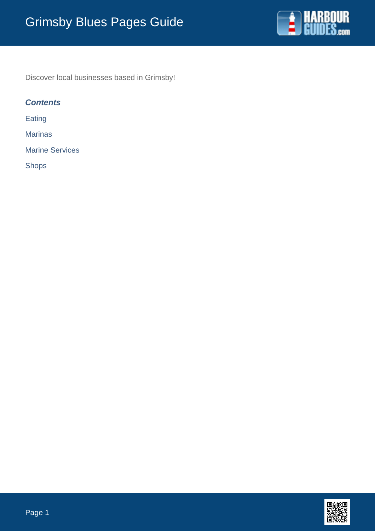

Discover local businesses based in Grimsby!

# **Contents**

Eating

**Marinas** 

Marine Services

Shops

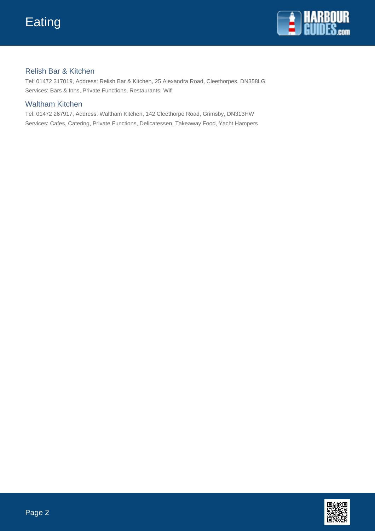

## Relish Bar & Kitchen

Tel: 01472 317019, Address: Relish Bar & Kitchen, 25 Alexandra Road, Cleethorpes, DN358LG Services: Bars & Inns, Private Functions, Restaurants, Wifi

## Waltham Kitchen

Tel: 01472 267917, Address: Waltham Kitchen, 142 Cleethorpe Road, Grimsby, DN313HW Services: Cafes, Catering, Private Functions, Delicatessen, Takeaway Food, Yacht Hampers

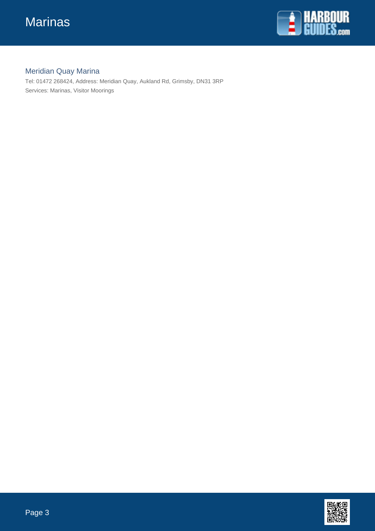

# Meridian Quay Marina

Tel: 01472 268424, Address: Meridian Quay, Aukland Rd, Grimsby, DN31 3RP Services: Marinas, Visitor Moorings

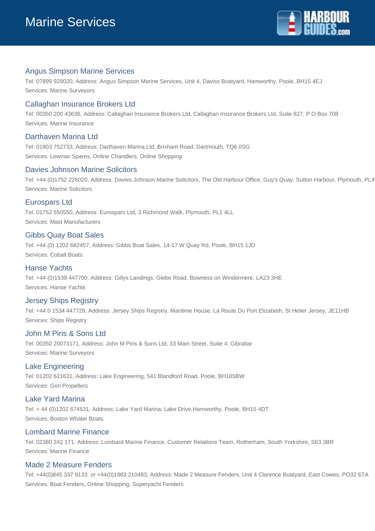

## Angus Simpson Marine Services

Tel: 07899 928020, Address: Angus Simpson Marine Services, Unit 4, Daviss Boatyard, Hamworthy, Poole, BH15 4EJ Services: Marine Surveyors

## Callaghan Insurance Brokers Ltd

Tel: 00350 200 43636, Address: Callaghan Insurance Brokers Ltd, Callaghan Insurance Brokers Ltd, Suite 827, P O Box 708 Services: Marine Insurance

#### Darthaven Marina Ltd

Tel: 01803 752733, Address: Darthaven Marina Ltd, Brixham Road, Dartmouth, TQ6 0SG Services: Lewmar Spares, Online Chandlers, Online Shopping

#### Davies Johnson Marine Solicitors

Tel: +44 (0)1752 226020, Address: Davies Johnson Marine Solicitors, The Old Harbour Office, Guy's Quay, Sutton Harbour, Plymouth, PL4 Services: Marine Solicitors

#### Eurospars Ltd

Tel: 01752 550550, Address: Eurospars Ltd, 3 Richmond Walk, Plymouth, PL1 4LL Services: Mast Manufacturers

#### Gibbs Quay Boat Sales

Tel: +44 (0) 1202 682457, Address: Gibbs Boat Sales, 14-17 W Quay Rd, Poole, BH15 1JD Services: Cobalt Boats

#### Hanse Yachts

Tel: +44 (0)1539 447700, Address: Gillys Landings, Glebe Road, Bowness on Windermere, LA23 3HE Services: Hanse Yachts

#### Jersey Ships Registry

Tel: +44 0 1534 447728, Address: Jersey Ships Registry, Maritime House, La Route Du Port Elizabeth, St Helier Jersey, JE11HB Services: Ships Registry

#### John M Piris & Sons Ltd

Tel: 00350 20073171, Address: John M Piris & Sons Ltd, 33 Main Street. Suite 4, Gibraltar Services: Marine Surveyors

#### Lake Engineering

Tel: 01202 621631, Address: Lake Engineering, 541 Blandford Road, Poole, BH165BW Services: Gori Propellers

## Lake Yard Marina

Tel: + 44 (0)1202 674531, Address: Lake Yard Marina, Lake Drive,Hamworthy, Poole, BH15 4DT Services: Boston Whaler Boats

#### Lombard Marine Finance

Tel: 02380 242 171, Address: Lombard Marine Finance, Customer Relations Team, Rotherham, South Yorkshire, S63 3BR Services: Marine Finance

#### Made 2 Measure Fenders

Tel: +44(0)845 337 9133 or +44(0)1983 210493, Address: Made 2 Measure Fenders, Unit 4 Clarence Boatyard, East Cowes, PO32 6TA Services: Boat Fenders, Online Shopping, Superyacht Fenders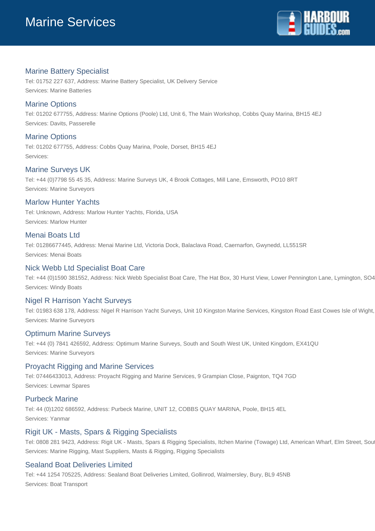

## Marine Battery Specialist

Tel: 01752 227 637, Address: Marine Battery Specialist, UK Delivery Service Services: Marine Batteries

## Marine Options

Tel: 01202 677755, Address: Marine Options (Poole) Ltd, Unit 6, The Main Workshop, Cobbs Quay Marina, BH15 4EJ Services: Davits, Passerelle

## Marine Options

Tel: 01202 677755, Address: Cobbs Quay Marina, Poole, Dorset, BH15 4EJ Services:

## Marine Surveys UK

Tel: +44 (0)7798 55 45 35, Address: Marine Surveys UK, 4 Brook Cottages, Mill Lane, Emsworth, PO10 8RT Services: Marine Surveyors

## Marlow Hunter Yachts

Tel: Unknown, Address: Marlow Hunter Yachts, Florida, USA Services: Marlow Hunter

## Menai Boats Ltd

Tel: 01286677445, Address: Menai Marine Ltd, Victoria Dock, Balaclava Road, Caernarfon, Gwynedd, LL551SR Services: Menai Boats

## Nick Webb Ltd Specialist Boat Care

Tel: +44 (0)1590 381552, Address: Nick Webb Specialist Boat Care, The Hat Box, 30 Hurst View, Lower Pennington Lane, Lymington, SO4 Services: Windy Boats

## Nigel R Harrison Yacht Surveys

Tel: 01983 638 178, Address: Nigel R Harrison Yacht Surveys, Unit 10 Kingston Marine Services, Kingston Road East Cowes Isle of Wight, Services: Marine Surveyors

## Optimum Marine Surveys

Tel: +44 (0) 7841 426592, Address: Optimum Marine Surveys, South and South West UK, United Kingdom, EX41QU Services: Marine Surveyors

## Proyacht Rigging and Marine Services

Tel: 07446433013, Address: Proyacht Rigging and Marine Services, 9 Grampian Close, Paignton, TQ4 7GD Services: Lewmar Spares

## Purbeck Marine

Tel: 44 (0)1202 686592, Address: Purbeck Marine, UNIT 12, COBBS QUAY MARINA, Poole, BH15 4EL Services: Yanmar

## Rigit UK - Masts, Spars & Rigging Specialists

Tel: 0808 281 9423, Address: Rigit UK - Masts, Spars & Rigging Specialists, Itchen Marine (Towage) Ltd, American Wharf, Elm Street, Sou Services: Marine Rigging, Mast Suppliers, Masts & Rigging, Rigging Specialists

## Sealand Boat Deliveries Limited

Tel: +44 1254 705225, Address: Sealand Boat Deliveries Limited, Gollinrod, Walmersley, Bury, BL9 45NB Services: Boat Transport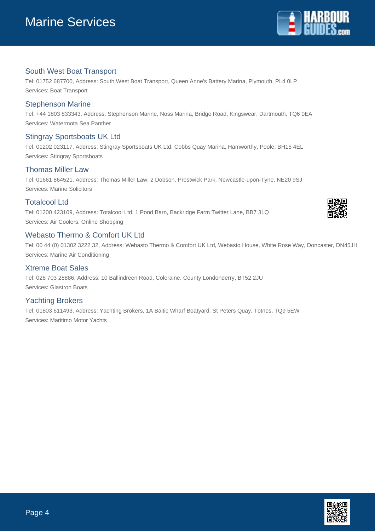

## South West Boat Transport

Tel: 01752 687700, Address: South West Boat Transport, Queen Anne's Battery Marina, Plymouth, PL4 0LP Services: Boat Transport

#### Stephenson Marine

Tel: +44 1803 833343, Address: Stephenson Marine, Noss Marina, Bridge Road, Kingswear, Dartmouth, TQ6 0EA Services: Watermota Sea Panther

## Stingray Sportsboats UK Ltd

Tel: 01202 023117, Address: Stingray Sportsboats UK Ltd, Cobbs Quay Marina, Hamworthy, Poole, BH15 4EL Services: Stingray Sportsboats

## Thomas Miller Law

Tel: 01661 864521, Address: Thomas Miller Law, 2 Dobson, Prestwick Park, Newcastle-upon-Tyne, NE20 9SJ Services: Marine Solicitors

#### Totalcool Ltd

Tel: 01200 423109, Address: Totalcool Ltd, 1 Pond Barn, Backridge Farm Twitter Lane, BB7 3LQ Services: Air Coolers, Online Shopping

## Webasto Thermo & Comfort UK Ltd

Tel: 00 44 (0) 01302 3222 32, Address: Webasto Thermo & Comfort UK Ltd, Webasto House, White Rose Way, Doncaster, DN45JH Services: Marine Air Conditioning

#### Xtreme Boat Sales

Tel: 028 703 28886, Address: 10 Ballindreen Road, Coleraine, County Londonderry, BT52 2JU Services: Glastron Boats

## Yachting Brokers

Tel: 01803 611493, Address: Yachting Brokers, 1A Baltic Wharf Boatyard, St Peters Quay, Totnes, TQ9 5EW Services: Maritimo Motor Yachts



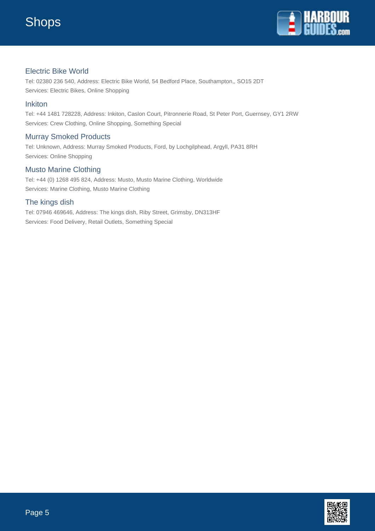

## Electric Bike World

Tel: 02380 236 540, Address: Electric Bike World, 54 Bedford Place, Southampton,, SO15 2DT Services: Electric Bikes, Online Shopping

#### Inkiton

Tel: +44 1481 728228, Address: Inkiton, Caslon Court, Pitronnerie Road, St Peter Port, Guernsey, GY1 2RW Services: Crew Clothing, Online Shopping, Something Special

## Murray Smoked Products

Tel: Unknown, Address: Murray Smoked Products, Ford, by Lochgilphead, Argyll, PA31 8RH Services: Online Shopping

## Musto Marine Clothing

Tel: +44 (0) 1268 495 824, Address: Musto, Musto Marine Clothing, Worldwide Services: Marine Clothing, Musto Marine Clothing

## The kings dish

Tel: 07946 469646, Address: The kings dish, Riby Street, Grimsby, DN313HF Services: Food Delivery, Retail Outlets, Something Special